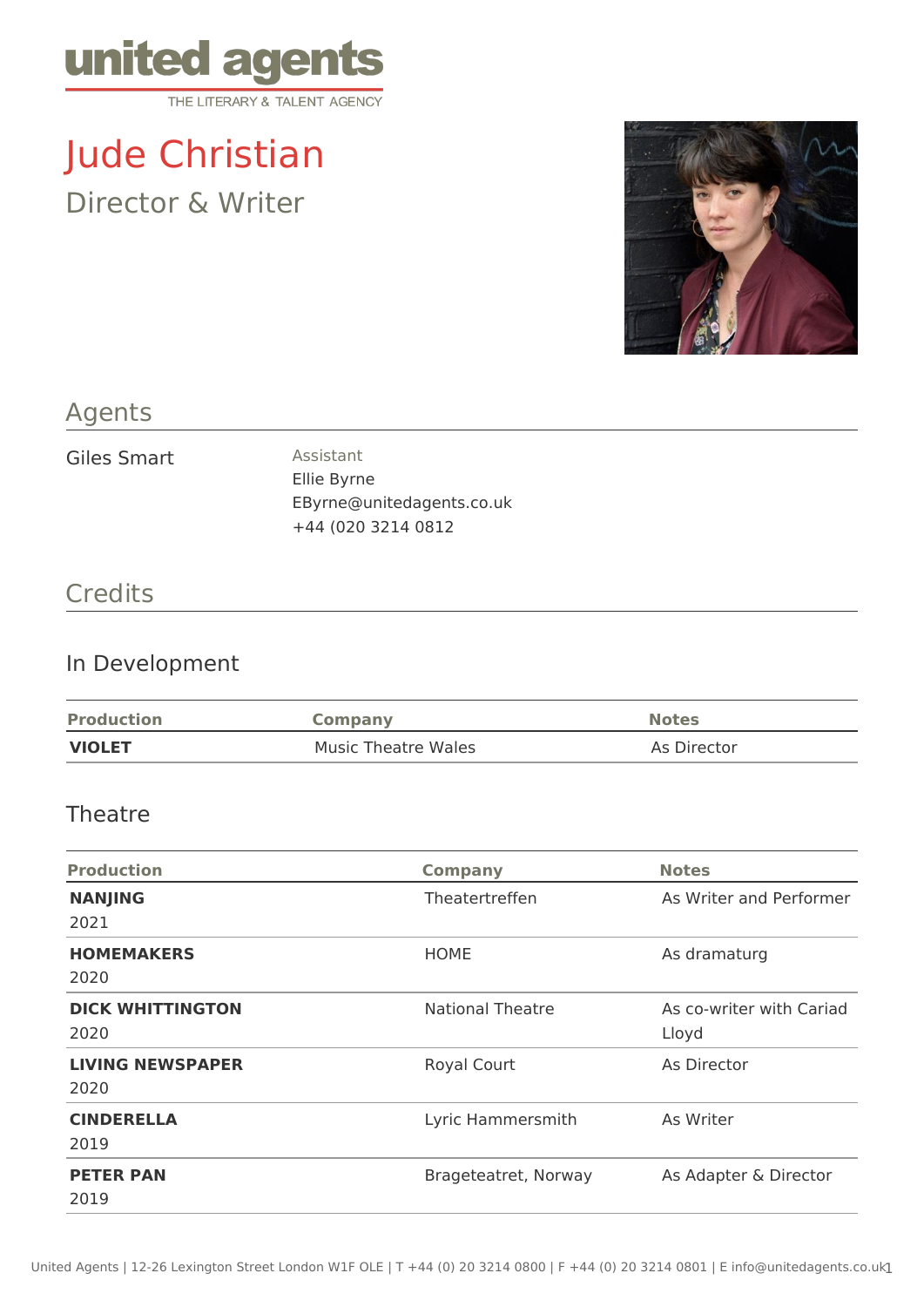

# Jude Christian Director & Writer



#### Agents

Giles Smart Assistant

Ellie Byrne EByrne@unitedagents.co.uk +44 (020 3214 0812

#### **Credits**

#### In Development

| <b>Production</b> | <b>Company</b>      | <b>Notes</b> |
|-------------------|---------------------|--------------|
| <b>VIOLET</b>     | Music Theatre Wales | As Director  |

#### **Theatre**

| <b>Production</b>               | <b>Company</b>          | <b>Notes</b>                      |
|---------------------------------|-------------------------|-----------------------------------|
| <b>NANJING</b><br>2021          | Theatertreffen          | As Writer and Performer           |
| <b>HOMEMAKERS</b><br>2020       | <b>HOME</b>             | As dramaturg                      |
| <b>DICK WHITTINGTON</b><br>2020 | <b>National Theatre</b> | As co-writer with Cariad<br>Lloyd |
| <b>LIVING NEWSPAPER</b><br>2020 | Royal Court             | As Director                       |
| <b>CINDERELLA</b><br>2019       | Lyric Hammersmith       | As Writer                         |
| <b>PETER PAN</b><br>2019        | Brageteatret, Norway    | As Adapter & Director             |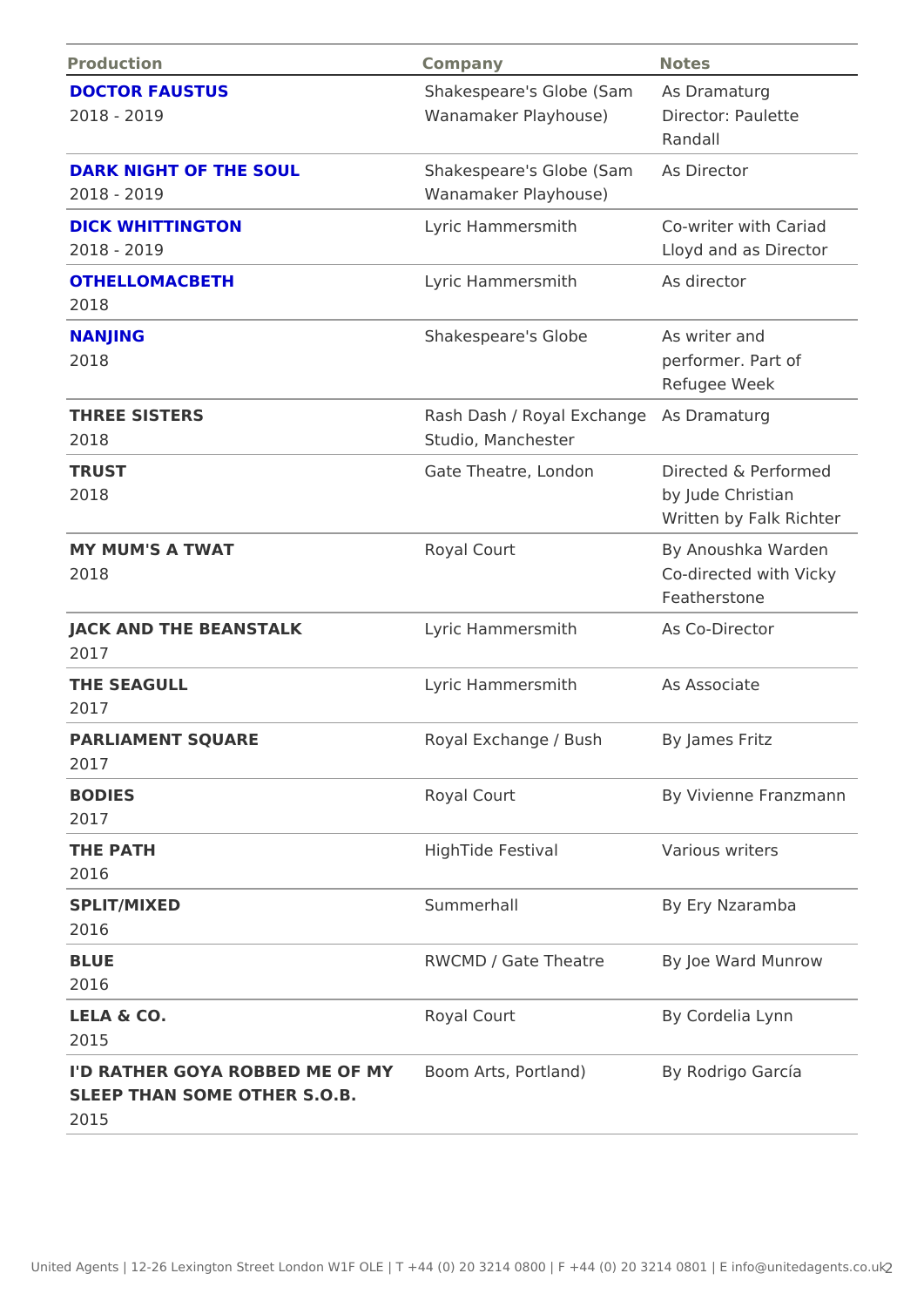| Production                                                                                                   | Company                                                                     | Notes                                                                                    |
|--------------------------------------------------------------------------------------------------------------|-----------------------------------------------------------------------------|------------------------------------------------------------------------------------------|
| <b>DOCTOR FAUSTUS</b><br>2018 - 2019                                                                         | Shakespeare's Globe ASsaDhramaturg<br>Wanamaker PlayhouseDirector: Paulette | Randall                                                                                  |
| DARK NIGHT OF THE SOUL<br>2018 - 2019                                                                        | Shakespeare's Globe ASsaDnirector<br>Wanamaker Playhouse)                   |                                                                                          |
| DICK WHITTINGTON<br>$2018 - 2019$                                                                            | Lyric Hammersmith                                                           | Co-writer with Cariad<br>Lloyd and as Director                                           |
| OTHELLOMACBETH<br>2018                                                                                       | Lyric Hammersmith                                                           | As director                                                                              |
| NANJING<br>2018                                                                                              | Shakespeare's Globe As writer and                                           | performer. Part of<br>Refugee Week                                                       |
| THREE SISTERS<br>2018                                                                                        | Rash Dash / Royal ExAbsalD gæmaturg<br>Studio, Manchester                   |                                                                                          |
| <b>TRUST</b><br>2018                                                                                         |                                                                             | Gate Theatre, LondonDirected & Performed<br>by Jude Christian<br>Written by Falk Richter |
| MY MUM'S A TWAT<br>2018                                                                                      | Royal Court                                                                 | By Anoushka Warden<br>Co-directed with Vicky<br>Featherstone                             |
| JACK AND THE BEANSTALK<br>2017                                                                               | Lyric Hammersmith                                                           | As Co-Director                                                                           |
| THE SEAGULL<br>2017                                                                                          | Lyric Hammersmith                                                           | As Associate                                                                             |
| PARLIAMENT SQUARE<br>2017                                                                                    | Royal Exchange / BusBy James Fritz                                          |                                                                                          |
| <b>BODIES</b><br>2017                                                                                        | Royal Court                                                                 | By Vivienne Franzmann                                                                    |
| THE PATH<br>2016                                                                                             | High Tide Festival Various writers                                          |                                                                                          |
| SPLIT/MIXED<br>2016                                                                                          | Summerhall                                                                  | By Ery Nzaramba                                                                          |
| <b>BLUE</b><br>2016                                                                                          |                                                                             | RWCMD / Gate TheatrBy Joe Ward Munrow                                                    |
| LELA & CO.<br>2015                                                                                           | Royal Court                                                                 | By Cordelia Lynn                                                                         |
| I'D RATHER GOYA ROBBED ME OBFodMnY Arts, Portland) By Rodrigo García<br>SLEEP THAN SOME OTHER S.O.B.<br>2015 |                                                                             |                                                                                          |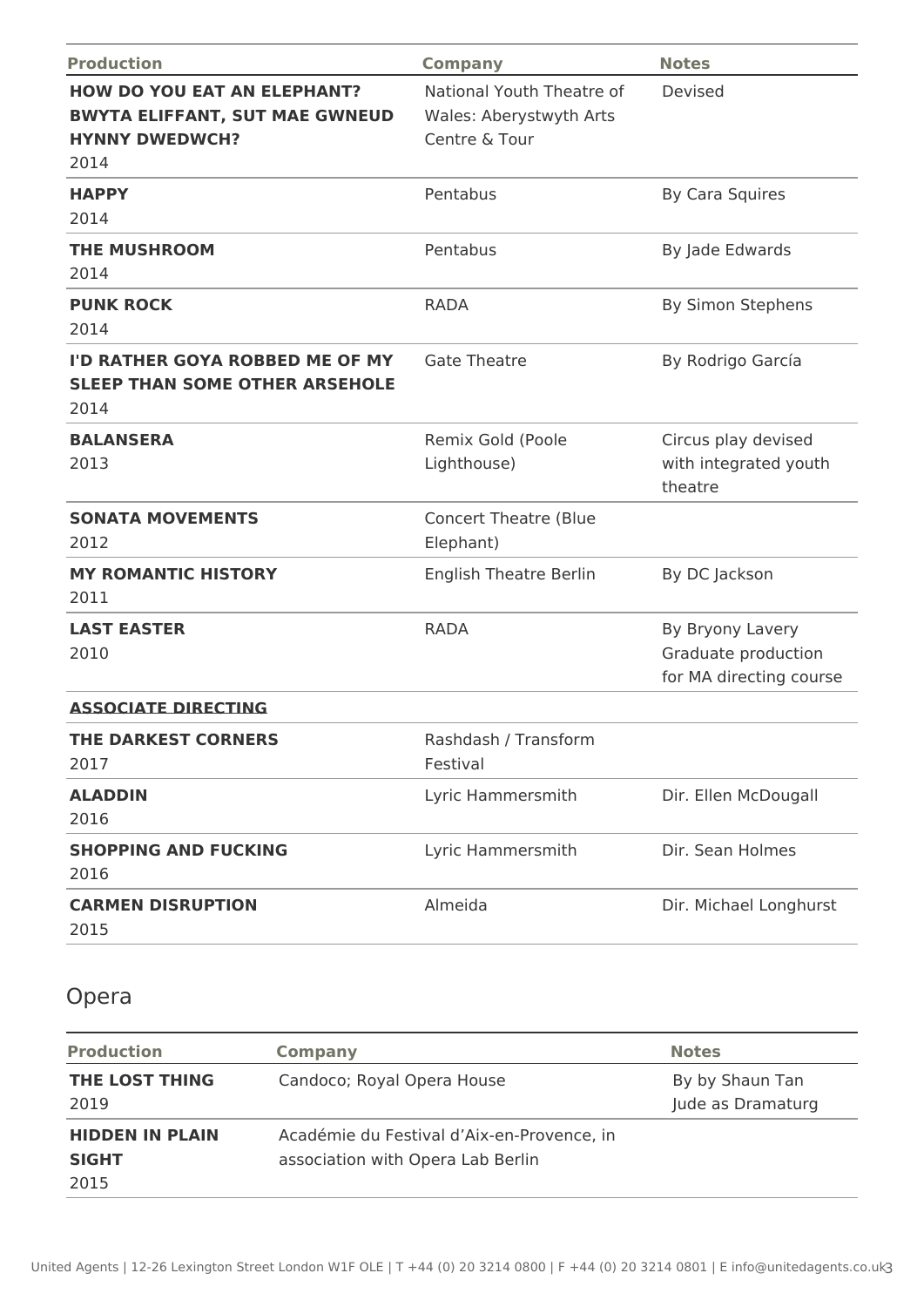| <b>Production</b>                                                                                            | <b>Company</b>                                                        | <b>Notes</b>                                                       |
|--------------------------------------------------------------------------------------------------------------|-----------------------------------------------------------------------|--------------------------------------------------------------------|
| <b>HOW DO YOU EAT AN ELEPHANT?</b><br><b>BWYTA ELIFFANT, SUT MAE GWNEUD</b><br><b>HYNNY DWEDWCH?</b><br>2014 | National Youth Theatre of<br>Wales: Aberystwyth Arts<br>Centre & Tour | Devised                                                            |
| <b>HAPPY</b><br>2014                                                                                         | Pentabus                                                              | <b>By Cara Squires</b>                                             |
| <b>THE MUSHROOM</b><br>2014                                                                                  | Pentabus                                                              | By Jade Edwards                                                    |
| <b>PUNK ROCK</b><br>2014                                                                                     | <b>RADA</b>                                                           | By Simon Stephens                                                  |
| <b>I'D RATHER GOYA ROBBED ME OF MY</b><br><b>SLEEP THAN SOME OTHER ARSEHOLE</b><br>2014                      | <b>Gate Theatre</b>                                                   | By Rodrigo García                                                  |
| <b>BALANSERA</b><br>2013                                                                                     | Remix Gold (Poole<br>Lighthouse)                                      | Circus play devised<br>with integrated youth<br>theatre            |
| <b>SONATA MOVEMENTS</b><br>2012                                                                              | <b>Concert Theatre (Blue</b><br>Elephant)                             |                                                                    |
| <b>MY ROMANTIC HISTORY</b><br>2011                                                                           | <b>English Theatre Berlin</b>                                         | By DC Jackson                                                      |
| <b>LAST EASTER</b><br>2010                                                                                   | <b>RADA</b>                                                           | By Bryony Lavery<br>Graduate production<br>for MA directing course |
| <b>ASSOCIATE DIRECTING</b>                                                                                   |                                                                       |                                                                    |
| THE DARKEST CORNERS<br>2017                                                                                  | Rashdash / Transform<br>Festival                                      |                                                                    |
| <b>ALADDIN</b><br>2016                                                                                       | Lyric Hammersmith                                                     | Dir. Ellen McDougall                                               |
| <b>SHOPPING AND FUCKING</b><br>2016                                                                          | Lyric Hammersmith                                                     | Dir. Sean Holmes                                                   |
| <b>CARMEN DISRUPTION</b><br>2015                                                                             | Almeida                                                               | Dir. Michael Longhurst                                             |

### Opera

| <b>Production</b>                              | <b>Company</b>                                                                  | <b>Notes</b>                         |
|------------------------------------------------|---------------------------------------------------------------------------------|--------------------------------------|
| THE LOST THING<br>2019                         | Candoco; Royal Opera House                                                      | By by Shaun Tan<br>Jude as Dramaturg |
| <b>HIDDEN IN PLAIN</b><br><b>SIGHT</b><br>2015 | Académie du Festival d'Aix-en-Provence, in<br>association with Opera Lab Berlin |                                      |